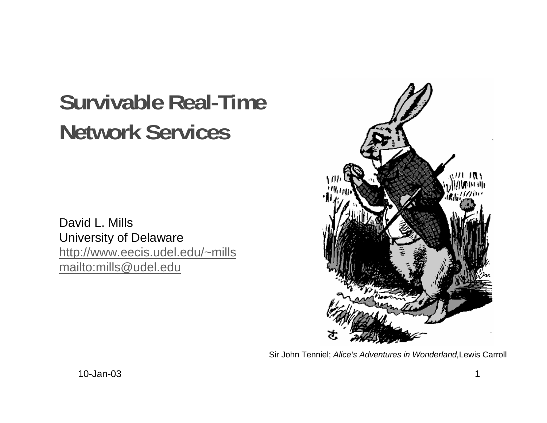# **Survivable Real-Time Network Services**

David L. Mills University of Delaware http://www.eecis.udel.edu/~mills mailto:mills@udel.edu



Sir John Tenniel; Alice's Adventures in Wonderland,Lewis Carroll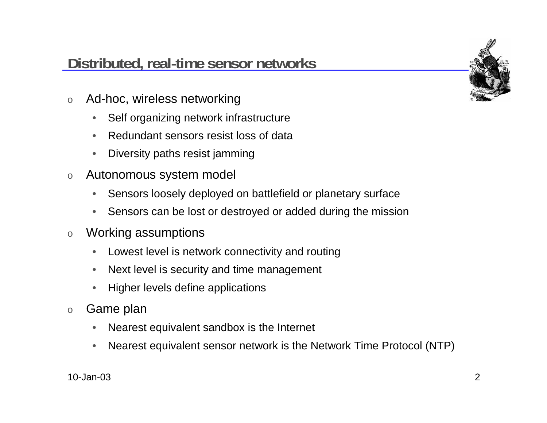# **Distributed, real-time sensor networks**

- o Ad-hoc, wireless networking
	- $\bullet$ Self organizing network infrastructure
	- •Redundant sensors resist loss of data
	- •Diversity paths resist jamming
- o Autonomous system model
	- •Sensors loosely deployed on battlefield or planetary surface
	- •Sensors can be lost or destroyed or added during the mission
- o Working assumptions
	- •Lowest level is network connectivity and routing
	- $\bullet$ Next level is security and time management
	- $\bullet$ Higher levels define applications
- o Game plan
	- $\bullet$ Nearest equivalent sandbox is the Internet
	- •Nearest equivalent sensor network is the Network Time Protocol (NTP)

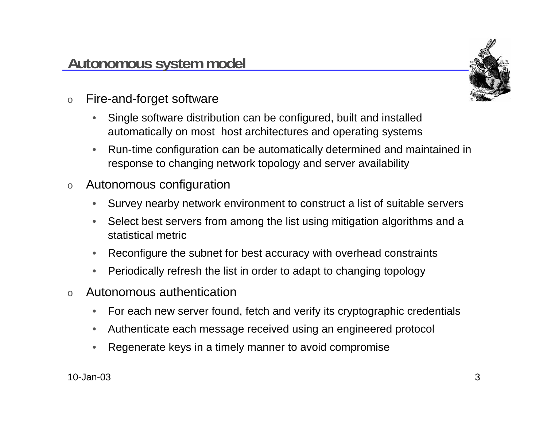

- o Fire-and-forget software
	- $\bullet$  Single software distribution can be configured, built and installed automatically on most host architectures and operating systems
	- • Run-time configuration can be automatically determined and maintained in response to changing network topology and server availability
- o Autonomous configuration
	- •Survey nearby network environment to construct a list of suitable servers
	- • Select best servers from among the list using mitigation algorithms and a statistical metric
	- $\bullet$ Reconfigure the subnet for best accuracy with overhead constraints
	- •Periodically refresh the list in order to adapt to changing topology
- o Autonomous authentication
	- $\bullet$ For each new server found, fetch and verify its cryptographic credentials
	- •Authenticate each message received using an engineered protocol
	- •Regenerate keys in a timely manner to avoid compromise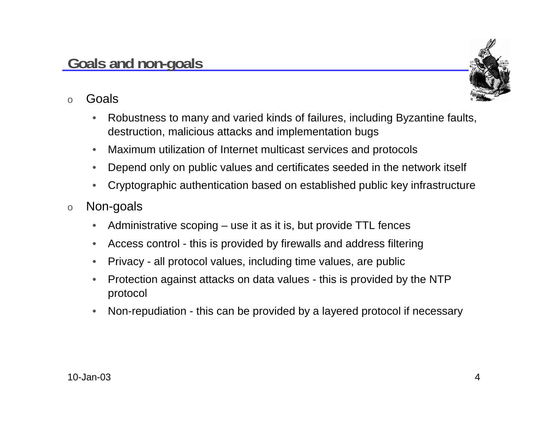

- o Goals
	- • Robustness to many and varied kinds of failures, including Byzantine faults, destruction, malicious attacks and implementation bugs
	- •Maximum utilization of Internet multicast services and protocols
	- •Depend only on public values and certificates seeded in the network itself
	- •Cryptographic authentication based on established public key infrastructure
- o Non-goals
	- •Administrative scoping – use it as it is, but provide TTL fences
	- •Access control - this is provided by firewalls and address filtering
	- •Privacy - all protocol values, including time values, are public
	- • Protection against attacks on data values - this is provided by the NTP protocol
	- $\bullet$ Non-repudiation - this can be provided by a layered protocol if necessary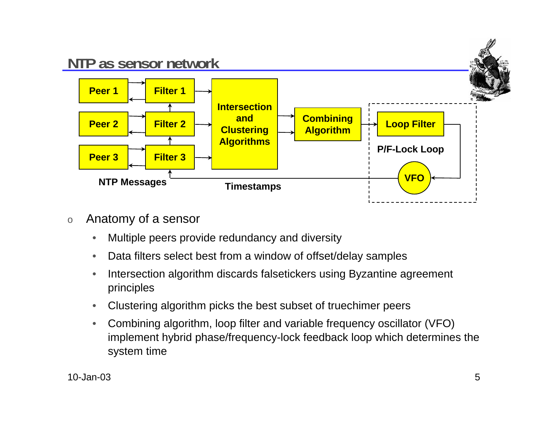

- o Anatomy of a sensor
	- •Multiple peers provide redundancy and diversity
	- •Data filters select best from a window of offset/delay samples
	- • Intersection algorithm discards falsetickers using Byzantine agreement principles
	- •Clustering algorithm picks the best subset of truechimer peers
	- • Combining algorithm, loop filter and variable frequency oscillator (VFO) implement hybrid phase/frequency-lock feedback loop which determines the system time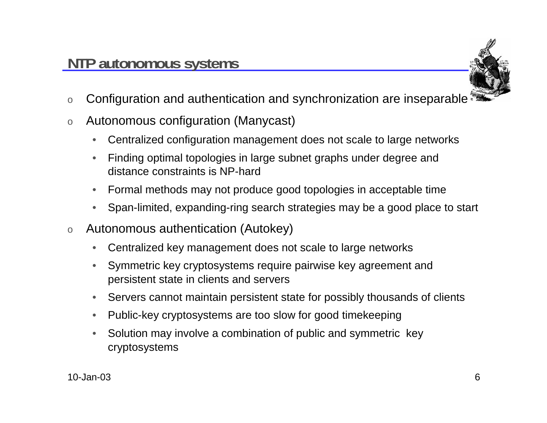

- oConfiguration and authentication and synchronization are inseparable
- o Autonomous configuration (Manycast)
	- $\bullet$ Centralized configuration management does not scale to large networks
	- • Finding optimal topologies in large subnet graphs under degree and distance constraints is NP-hard
	- •Formal methods may not produce good topologies in acceptable time
	- $\bullet$ Span-limited, expanding-ring search strategies may be a good place to start
- o Autonomous authentication (Autokey)
	- •Centralized key management does not scale to large networks
	- • Symmetric key cryptosystems require pairwise key agreement and persistent state in clients and servers
	- •Servers cannot maintain persistent state for possibly thousands of clients
	- $\bullet$ Public-key cryptosystems are too slow for good timekeeping
	- • Solution may involve a combination of public and symmetric key cryptosystems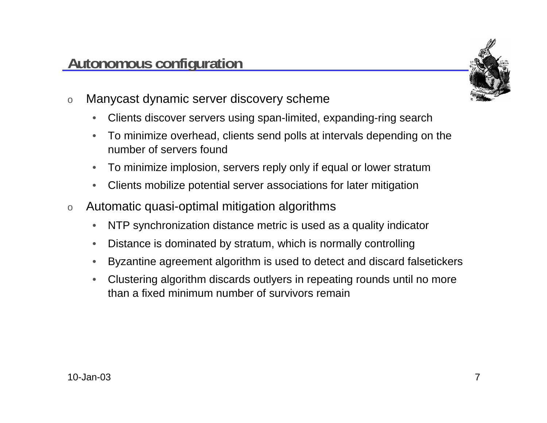### **Autonomous configuration**

- o Manycast dynamic server discovery scheme
	- $\bullet$ Clients discover servers using span-limited, expanding-ring search
	- • To minimize overhead, clients send polls at intervals depending on the number of servers found
	- $\bullet$ To minimize implosion, servers reply only if equal or lower stratum
	- $\bullet$ Clients mobilize potential server associations for later mitigation
- o Automatic quasi-optimal mitigation algorithms
	- $\bullet$ NTP synchronization distance metric is used as a quality indicator
	- •Distance is dominated by stratum, which is normally controlling
	- •Byzantine agreement algorithm is used to detect and discard falsetickers
	- • Clustering algorithm discards outlyers in repeating rounds until no more than a fixed minimum number of survivors remain

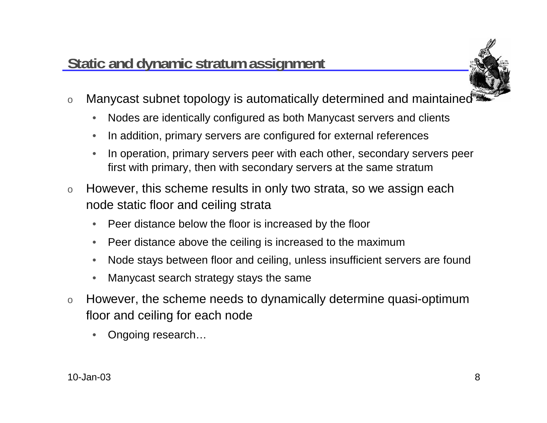# **Static and dynamic stratum assignment**



- o Manycast subnet topology is automatically determined and maintained
	- $\bullet$ Nodes are identically configured as both Manycast servers and clients
	- •In addition, primary servers are configured for external references
	- • In operation, primary servers peer with each other, secondary servers peer first with primary, then with secondary servers at the same stratum
- o However, this scheme results in only two strata, so we assign each node static floor and ceiling strata
	- •Peer distance below the floor is increased by the floor
	- $\bullet$ Peer distance above the ceiling is increased to the maximum
	- •Node stays between floor and ceiling, unless insufficient servers are found
	- •Manycast search strategy stays the same
- o However, the scheme needs to dynamically determine quasi-optimum floor and ceiling for each node
	- •Ongoing research…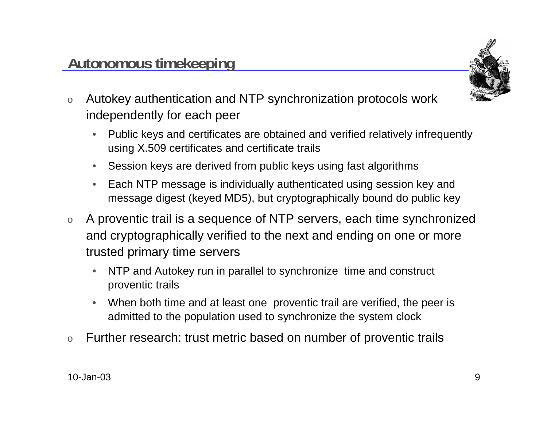

- o Autokey authentication and NTP synchronization protocols work independently for each peer
	- • Public keys and certificates are obtained and verified relatively infrequently using X.509 certificates and certificate trails
	- $\bullet$ Session keys are derived from public keys using fast algorithms
	- • Each NTP message is individually authenticated using session key and message digest (keyed MD5), but cryptographically bound do public key
- o A proventic trail is a sequence of NTP servers, each time synchronized and cryptographically verified to the next and ending on one or more trusted primary time servers
	- • NTP and Autokey run in parallel to synchronize time and construct proventic trails
	- • When both time and at least one proventic trail are verified, the peer is admitted to the population used to synchronize the system clock
- oFurther research: trust metric based on number of proventic trails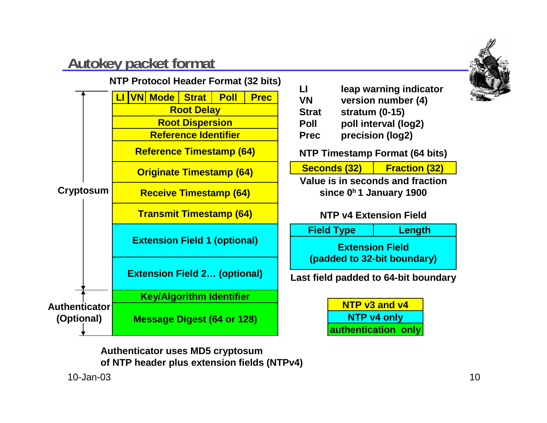# **Autokey packet format**



**VN version number (4) Strat stratum (0-15) Poll poll interval (log2) Prec precision (log2)**

**NTP Timestamp Format (64 bits)**

| Seconds (32) | <b>Fraction (32)</b> |  |
|--------------|----------------------|--|
|              |                      |  |

**Value is in seconds and fractionsince 0h 1 January 1900**

#### **NTP v4 Extension Field**

**Extension Field(padded to 32-bit boundary) Field Type Length**

**Last field padded to 64-bit boundary**

**NTP v3 and v4NTP v4 only authentication only**

**Authenticator uses MD5 cryptosum of NTP header plus extension fields (NTPv4)**

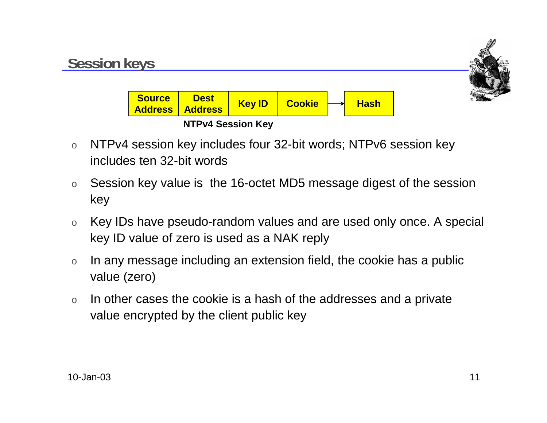

- o NTPv4 session key includes four 32-bit words; NTPv6 session key includes ten 32-bit words
- o Session key value is the 16-octet MD5 message digest of the session key
- o Key IDs have pseudo-random values and are used only once. A special key ID value of zero is used as a NAK reply
- o In any message including an extension field, the cookie has a public value (zero)
- o In other cases the cookie is a hash of the addresses and a private value encrypted by the client public key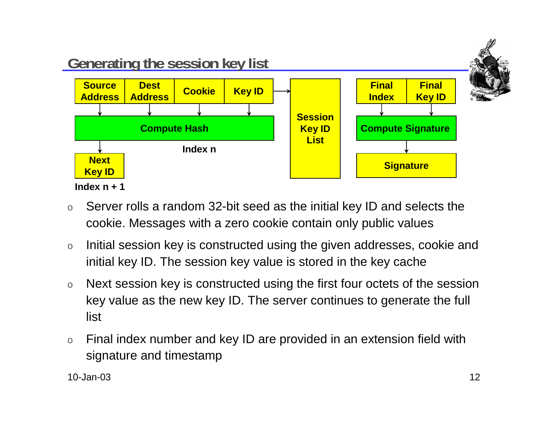

- o Server rolls a random 32-bit seed as the initial key ID and selects the cookie. Messages with a zero cookie contain only public values
- o Initial session key is constructed using the given addresses, cookie and initial key ID. The session key value is stored in the key cache
- o Next session key is constructed using the first four octets of the session key value as the new key ID. The server continues to generate the full list
- o Final index number and key ID are provided in an extension field with signature and timestamp

10-Jan-03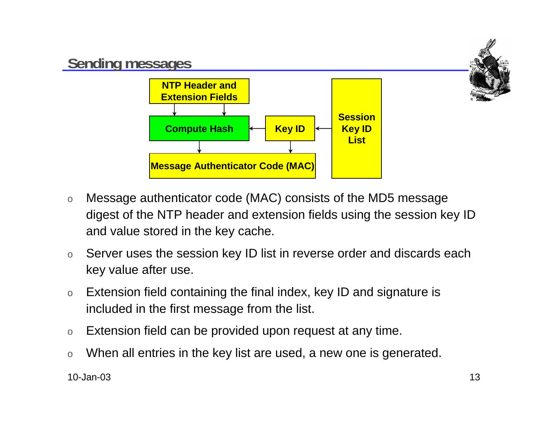

- o Message authenticator code (MAC) consists of the MD5 message digest of the NTP header and extension fields using the session key ID and value stored in the key cache.
- o Server uses the session key ID list in reverse order and discards each key value after use.
- o Extension field containing the final index, key ID and signature is included in the first message from the list.
- oExtension field can be provided upon request at any time.
- oWhen all entries in the key list are used, a new one is generated.

10-Jan-03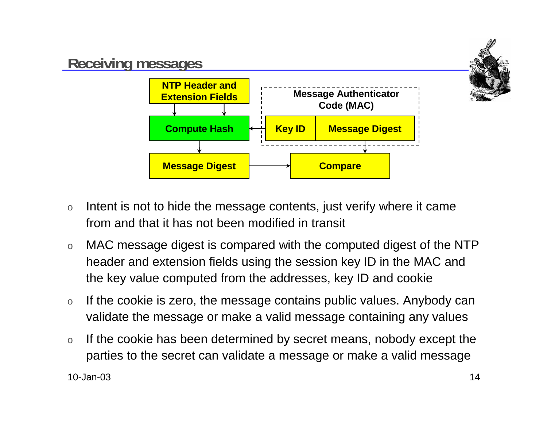

- o Intent is not to hide the message contents, just verify where it came from and that it has not been modified in transit
- o MAC message digest is compared with the computed digest of the NTP header and extension fields using the session key ID in the MAC and the key value computed from the addresses, key ID and cookie
- o If the cookie is zero, the message contains public values. Anybody can validate the message or make a valid message containing any values
- o If the cookie has been determined by secret means, nobody except the parties to the secret can validate a message or make a valid message

10-Jan-03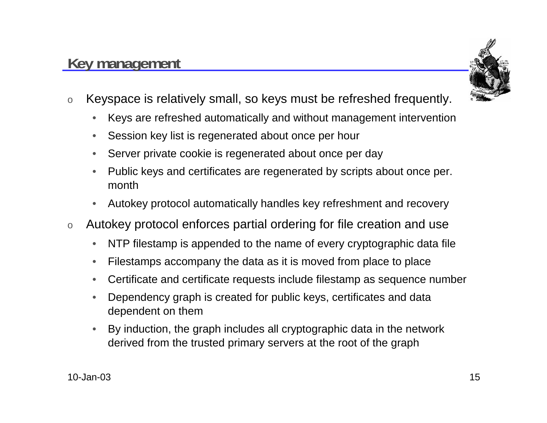## **Key management**



- o Keyspace is relatively small, so keys must be refreshed frequently.
	- $\bullet$ Keys are refreshed automatically and without management intervention
	- •Session key list is regenerated about once per hour
	- •Server private cookie is regenerated about once per day
	- • Public keys and certificates are regenerated by scripts about once per. month
	- •Autokey protocol automatically handles key refreshment and recovery
- o Autokey protocol enforces partial ordering for file creation and use
	- •NTP filestamp is appended to the name of every cryptographic data file
	- •Filestamps accompany the data as it is moved from place to place
	- •Certificate and certificate requests include filestamp as sequence number
	- • Dependency graph is created for public keys, certificates and data dependent on them
	- • By induction, the graph includes all cryptographic data in the network derived from the trusted primary servers at the root of the graph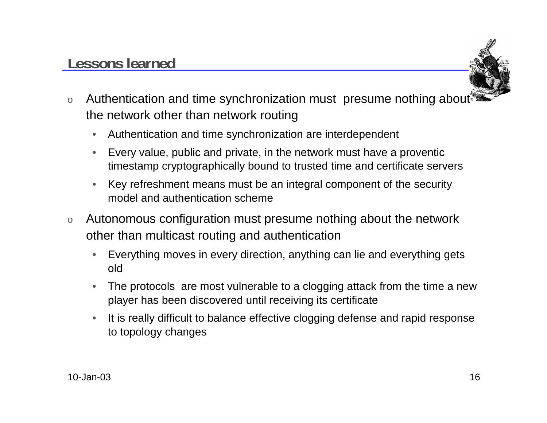# **Lessons learned**



- oAuthentication and time synchronization must presume nothing about the network other than network routing
	- $\bullet$ Authentication and time synchronization are interdependent
	- $\bullet$  Every value, public and private, in the network must have a proventic timestamp cryptographically bound to trusted time and certificate servers
	- • Key refreshment means must be an integral component of the security model and authentication scheme
- o Autonomous configuration must presume nothing about the network other than multicast routing and authentication
	- $\bullet$  Everything moves in every direction, anything can lie and everything gets old
	- • The protocols are most vulnerable to a clogging attack from the time a new player has been discovered until receiving its certificate
	- • It is really difficult to balance effective clogging defense and rapid response to topology changes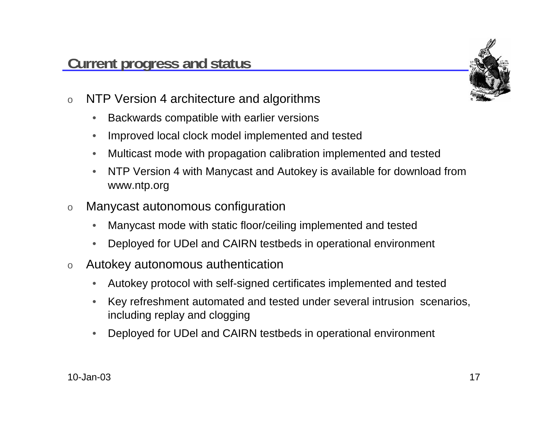

- o NTP Version 4 architecture and algorithms
	- $\bullet$ Backwards compatible with earlier versions
	- •Improved local clock model implemented and tested
	- •Multicast mode with propagation calibration implemented and tested
	- • NTP Version 4 with Manycast and Autokey is available for download from www.ntp.org
- o Manycast autonomous configuration
	- •Manycast mode with static floor/ceiling implemented and tested
	- •Deployed for UDel and CAIRN testbeds in operational environment
- o Autokey autonomous authentication
	- •Autokey protocol with self-signed certificates implemented and tested
	- • Key refreshment automated and tested under several intrusion scenarios, including replay and clogging
	- •Deployed for UDel and CAIRN testbeds in operational environment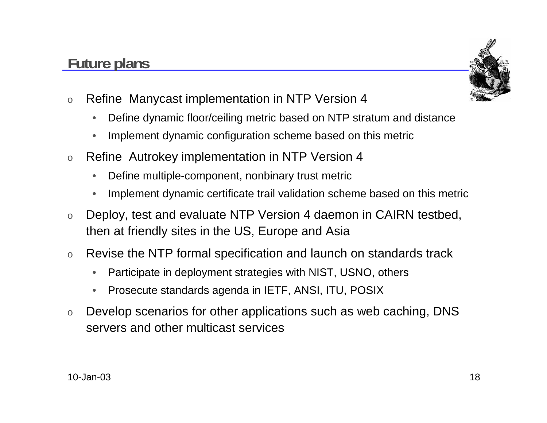# **Future plans**



- o Refine Manycast implementation in NTP Version 4
	- $\bullet$ Define dynamic floor/ceiling metric based on NTP stratum and distance
	- •Implement dynamic configuration scheme based on this metric
- o Refine Autrokey implementation in NTP Version 4
	- $\bullet$ Define multiple-component, nonbinary trust metric
	- •Implement dynamic certificate trail validation scheme based on this metric
- o Deploy, test and evaluate NTP Version 4 daemon in CAIRN testbed, then at friendly sites in the US, Europe and Asia
- o Revise the NTP formal specification and launch on standards track
	- •Participate in deployment strategies with NIST, USNO, others
	- •Prosecute standards agenda in IETF, ANSI, ITU, POSIX
- o Develop scenarios for other applications such as web caching, DNS servers and other multicast services